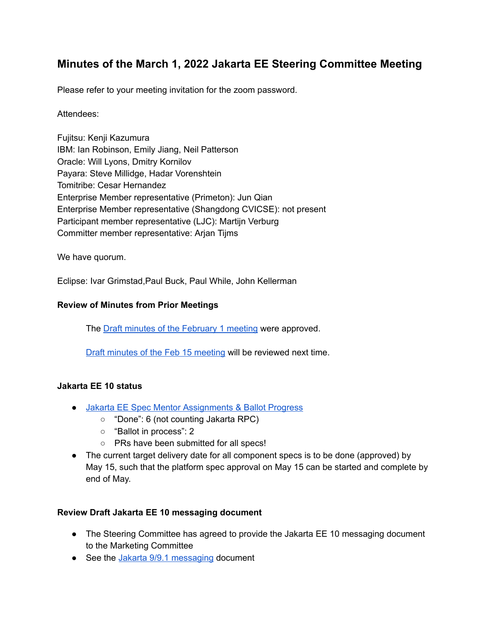# **Minutes of the March 1, 2022 Jakarta EE Steering Committee Meeting**

Please refer to your meeting invitation for the zoom password.

#### Attendees:

Fujitsu: Kenji Kazumura IBM: Ian Robinson, Emily Jiang, Neil Patterson Oracle: Will Lyons, Dmitry Kornilov Payara: Steve Millidge, Hadar Vorenshtein Tomitribe: Cesar Hernandez Enterprise Member representative (Primeton): Jun Qian Enterprise Member representative (Shangdong CVICSE): not present Participant member representative (LJC): Martijn Verburg Committer member representative: Arjan Tijms

We have quorum.

Eclipse: Ivar Grimstad,Paul Buck, Paul While, John Kellerman

#### **Review of Minutes from Prior Meetings**

The Draft minutes of the [February](https://docs.google.com/document/u/0/d/168iKm3YZXRBqlZCRn5OGJpZJhnNf09zSErwe-ZxWqJU/edit) 1 meeting were approved.

Draft minutes of the Feb 15 [meeting](https://docs.google.com/document/d/1iwNnDo6S7pph4YQW_8KruCwEkiLvAcyy3P8xbZU-c3Q/edit) will be reviewed next time.

#### **Jakarta EE 10 status**

- Jakarta EE Spec Mentor [Assignments](https://docs.google.com/spreadsheets/d/1YTUpfdLZZrk2_UGwoX2w0seOCueRO3sQJIjWxpDAa7g/edit#gid=35969432) & Ballot Progress
	- "Done": 6 (not counting Jakarta RPC)
	- "Ballot in process": 2
	- PRs have been submitted for all specs!
- The current target delivery date for all component specs is to be done (approved) by May 15, such that the platform spec approval on May 15 can be started and complete by end of May.

## **Review Draft Jakarta EE 10 messaging document**

- The Steering Committee has agreed to provide the Jakarta EE 10 messaging document to the Marketing Committee
- See the Jakarta 9/9.1 [messaging](https://urldefense.com/v3/__https://docs.google.com/document/d/18hJZsOaiKh6FMqeOoL5WoV6b10T-7UqpE0OXE31eVpE/edit__;!!ACWV5N9M2RV99hQ!ePxBTxM-a7gQZjXX2xqKYs45HPMmEe_CiUorLofRqyRfAnIzj1eIUQGTmS9iLWBX$) document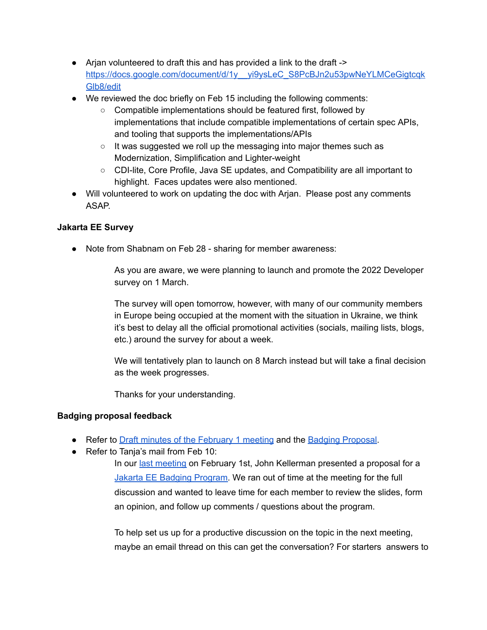- Arjan volunteered to draft this and has provided a link to the draft -> https://docs.google.com/document/d/1y yi9ysLeC\_S8PcBJn2u53pwNeYLMCeGigtcqk [Glb8/edit](https://docs.google.com/document/d/1y__yi9ysLeC_S8PcBJn2u53pwNeYLMCeGigtcqkGlb8/edit)
- We reviewed the doc briefly on Feb 15 including the following comments:
	- Compatible implementations should be featured first, followed by implementations that include compatible implementations of certain spec APIs, and tooling that supports the implementations/APIs
	- It was suggested we roll up the messaging into major themes such as Modernization, Simplification and Lighter-weight
	- CDI-lite, Core Profile, Java SE updates, and Compatibility are all important to highlight. Faces updates were also mentioned.
- Will volunteered to work on updating the doc with Arjan. Please post any comments ASAP.

## **Jakarta EE Survey**

● Note from Shabnam on Feb 28 - sharing for member awareness:

As you are aware, we were planning to launch and promote the 2022 Developer survey on 1 March.

The survey will open tomorrow, however, with many of our community members in Europe being occupied at the moment with the situation in Ukraine, we think it's best to delay all the official promotional activities (socials, mailing lists, blogs, etc.) around the survey for about a week.

We will tentatively plan to launch on 8 March instead but will take a final decision as the week progresses.

Thanks for your understanding.

## **Badging proposal feedback**

- Refer to **Draft minutes of the [February](https://docs.google.com/document/u/0/d/168iKm3YZXRBqlZCRn5OGJpZJhnNf09zSErwe-ZxWqJU/edit) 1 meeting and the Badging [Proposal](https://docs.google.com/presentation/d/1EaXtL7GPmhLzYt4iDtMQ8JQjfwCuoy-uABhqkCEva_k/edit#slide=id.g10f13aae965_0_0).**
- Refer to Tanja's mail from Feb 10:

In our last [meeting](https://urldefense.com/v3/__https://docs.google.com/document/d/168iKm3YZXRBqlZCRn5OGJpZJhnNf09zSErwe-ZxWqJU/edit?usp=sharing__;!!ACWV5N9M2RV99hQ!bsoE5ShWvW76F01PAB-3BIyk6zhhZOckff7RYzGEhJPxvm2tdfEolocRB3ZsOpND$) on February 1st, John Kellerman presented a proposal for a Jakarta EE Badging [Program](https://urldefense.com/v3/__https://docs.google.com/presentation/d/1EaXtL7GPmhLzYt4iDtMQ8JQjfwCuoy-uABhqkCEva_k/edit*slide=id.gfb9bc4e20a_0_18__;Iw!!ACWV5N9M2RV99hQ!bsoE5ShWvW76F01PAB-3BIyk6zhhZOckff7RYzGEhJPxvm2tdfEolocRB_NpSkpk$). We ran out of time at the meeting for the full discussion and wanted to leave time for each member to review the slides, form an opinion, and follow up comments / questions about the program.

To help set us up for a productive discussion on the topic in the next meeting, maybe an email thread on this can get the conversation? For starters answers to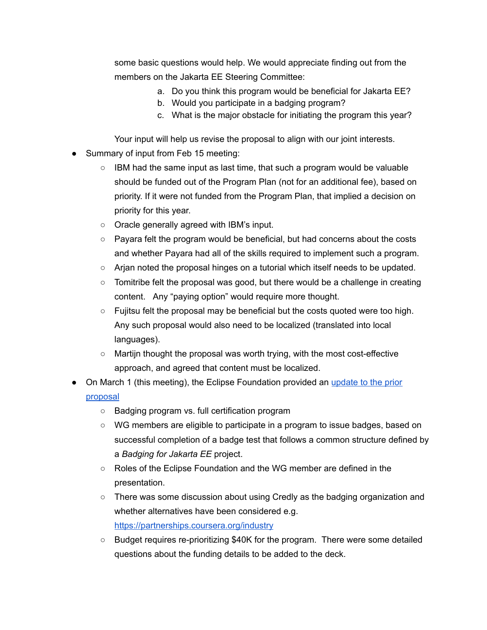some basic questions would help. We would appreciate finding out from the members on the Jakarta EE Steering Committee:

- a. Do you think this program would be beneficial for Jakarta EE?
- b. Would you participate in a badging program?
- c. What is the major obstacle for initiating the program this year?

Your input will help us revise the proposal to align with our joint interests.

- Summary of input from Feb 15 meeting:
	- $\circ$  IBM had the same input as last time, that such a program would be valuable should be funded out of the Program Plan (not for an additional fee), based on priority. If it were not funded from the Program Plan, that implied a decision on priority for this year.
	- Oracle generally agreed with IBM's input.
	- $\circ$  Payara felt the program would be beneficial, but had concerns about the costs and whether Payara had all of the skills required to implement such a program.
	- Arjan noted the proposal hinges on a tutorial which itself needs to be updated.
	- Tomitribe felt the proposal was good, but there would be a challenge in creating content. Any "paying option" would require more thought.
	- Fujitsu felt the proposal may be beneficial but the costs quoted were too high. Any such proposal would also need to be localized (translated into local languages).
	- Martijn thought the proposal was worth trying, with the most cost-effective approach, and agreed that content must be localized.
- On March 1 (this meeting), the Eclipse Foundation provided an [update](https://drive.google.com/drive/u/1/folders/1lJ-ipUKiSd8cgwu54KlTQm0YAgL7EJ8Z) to the prior [proposal](https://drive.google.com/drive/u/1/folders/1lJ-ipUKiSd8cgwu54KlTQm0YAgL7EJ8Z)
	- Badging program vs. full certification program
	- WG members are eligible to participate in a program to issue badges, based on successful completion of a badge test that follows a common structure defined by a *Badging for Jakarta EE* project.
	- Roles of the Eclipse Foundation and the WG member are defined in the presentation.
	- There was some discussion about using Credly as the badging organization and whether alternatives have been considered e.g. <https://partnerships.coursera.org/industry>
	- Budget requires re-prioritizing \$40K for the program. There were some detailed questions about the funding details to be added to the deck.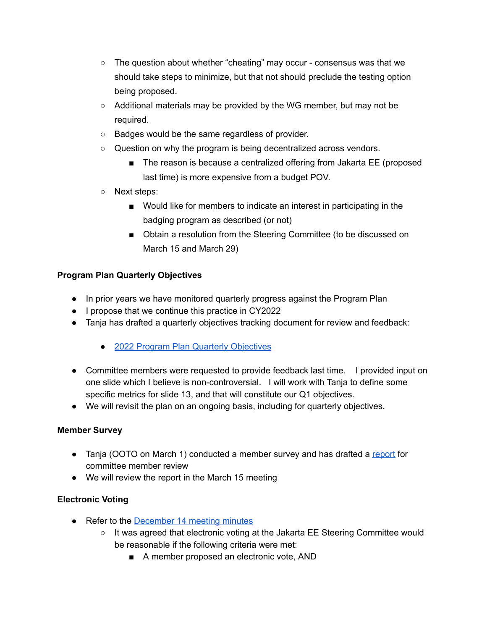- $\circ$  The question about whether "cheating" may occur consensus was that we should take steps to minimize, but that not should preclude the testing option being proposed.
- $\circ$  Additional materials may be provided by the WG member, but may not be required.
- Badges would be the same regardless of provider.
- Question on why the program is being decentralized across vendors.
	- The reason is because a centralized offering from Jakarta EE (proposed last time) is more expensive from a budget POV.
- Next steps:
	- Would like for members to indicate an interest in participating in the badging program as described (or not)
	- Obtain a resolution from the Steering Committee (to be discussed on March 15 and March 29)

## **Program Plan Quarterly Objectives**

- In prior years we have monitored quarterly progress against the Program Plan
- I propose that we continue this practice in CY2022
- Tanja has drafted a quarterly objectives tracking document for review and feedback:
	- 2022 Program Plan Quarterly [Objectives](https://urldefense.com/v3/__https://docs.google.com/presentation/d/1JH_ONPYmsQxNgN-ta4Yc6AP7i3Ez1Hq1gP8PX2zbCeo/edit*slide=id.g112ac509088_0_0__;Iw!!ACWV5N9M2RV99hQ!ZftDyw2HsaEQgnsfmx76s2Goi0JVJwzzGXKIZ6Yz16FFI6R6K6ahHQ3PRBf5Fwuz$)
- Committee members were requested to provide feedback last time. I provided input on one slide which I believe is non-controversial. I will work with Tanja to define some specific metrics for slide 13, and that will constitute our Q1 objectives.
- We will revisit the plan on an ongoing basis, including for quarterly objectives.

## **Member Survey**

- Tanja (OOTO on March 1) conducted a member survey and has drafted a [report](https://docs.google.com/presentation/d/1XSZLPjkmWFfIVzzRAug9UosC6bZeyq1s1Vbja70RX0k/edit) for committee member review
- We will review the report in the March 15 meeting

## **Electronic Voting**

- Refer to the **[December](https://jakarta.ee/about/meeting_minutes/steering_committee/minutes-december-14-2021.pdf) 14 meeting minutes** 
	- It was agreed that electronic voting at the Jakarta EE Steering Committee would be reasonable if the following criteria were met:
		- A member proposed an electronic vote, AND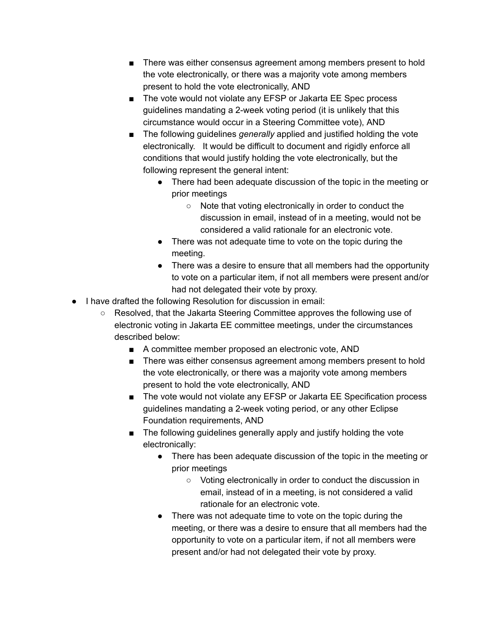- There was either consensus agreement among members present to hold the vote electronically, or there was a majority vote among members present to hold the vote electronically, AND
- The vote would not violate any EFSP or Jakarta EE Spec process guidelines mandating a 2-week voting period (it is unlikely that this circumstance would occur in a Steering Committee vote), AND
- The following guidelines *generally* applied and justified holding the vote electronically. It would be difficult to document and rigidly enforce all conditions that would justify holding the vote electronically, but the following represent the general intent:
	- There had been adequate discussion of the topic in the meeting or prior meetings
		- Note that voting electronically in order to conduct the discussion in email, instead of in a meeting, would not be considered a valid rationale for an electronic vote.
	- There was not adequate time to vote on the topic during the meeting.
	- There was a desire to ensure that all members had the opportunity to vote on a particular item, if not all members were present and/or had not delegated their vote by proxy.
- I have drafted the following Resolution for discussion in email:
	- Resolved, that the Jakarta Steering Committee approves the following use of electronic voting in Jakarta EE committee meetings, under the circumstances described below:
		- A committee member proposed an electronic vote, AND
		- There was either consensus agreement among members present to hold the vote electronically, or there was a majority vote among members present to hold the vote electronically, AND
		- The vote would not violate any EFSP or Jakarta EE Specification process guidelines mandating a 2-week voting period, or any other Eclipse Foundation requirements, AND
		- The following guidelines generally apply and justify holding the vote electronically:
			- There has been adequate discussion of the topic in the meeting or prior meetings
				- Voting electronically in order to conduct the discussion in email, instead of in a meeting, is not considered a valid rationale for an electronic vote.
			- There was not adequate time to vote on the topic during the meeting, or there was a desire to ensure that all members had the opportunity to vote on a particular item, if not all members were present and/or had not delegated their vote by proxy.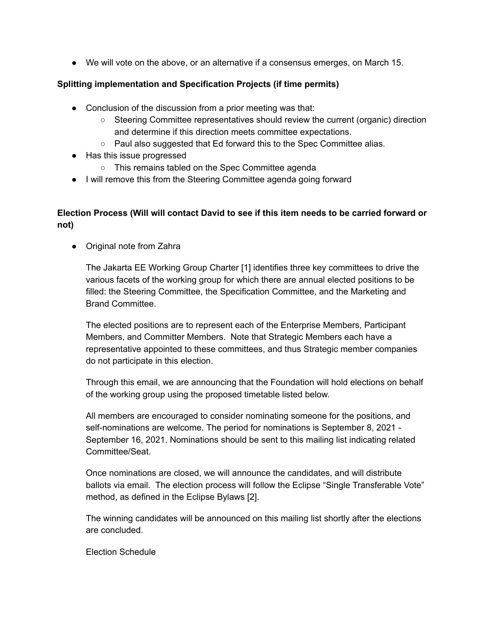● We will vote on the above, or an alternative if a consensus emerges, on March 15.

#### **Splitting implementation and Specification Projects (if time permits)**

- Conclusion of the discussion from a prior meeting was that:
	- Steering Committee representatives should review the current (organic) direction and determine if this direction meets committee expectations.
	- Paul also suggested that Ed forward this to the Spec Committee alias.
- Has this issue progressed
	- This remains tabled on the Spec Committee agenda
- I will remove this from the Steering Committee agenda going forward

# **Election Process (Will will contact David to see if this item needs to be carried forward or not)**

● Original note from Zahra

The Jakarta EE Working Group Charter [1] identifies three key committees to drive the various facets of the working group for which there are annual elected positions to be filled: the Steering Committee, the Specification Committee, and the Marketing and Brand Committee.

The elected positions are to represent each of the Enterprise Members, Participant Members, and Committer Members. Note that Strategic Members each have a representative appointed to these committees, and thus Strategic member companies do not participate in this election.

Through this email, we are announcing that the Foundation will hold elections on behalf of the working group using the proposed timetable listed below.

All members are encouraged to consider nominating someone for the positions, and self-nominations are welcome. The period for nominations is September 8, 2021 - September 16, 2021. Nominations should be sent to this mailing list indicating related Committee/Seat.

Once nominations are closed, we will announce the candidates, and will distribute ballots via email. The election process will follow the Eclipse "Single Transferable Vote" method, as defined in the Eclipse Bylaws [2].

The winning candidates will be announced on this mailing list shortly after the elections are concluded.

Election Schedule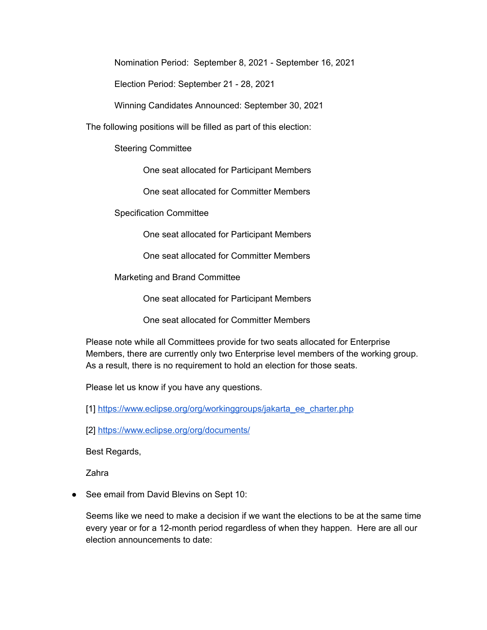Nomination Period: September 8, 2021 - September 16, 2021

Election Period: September 21 - 28, 2021

Winning Candidates Announced: September 30, 2021

The following positions will be filled as part of this election:

Steering Committee

One seat allocated for Participant Members

One seat allocated for Committer Members

Specification Committee

One seat allocated for Participant Members

One seat allocated for Committer Members

Marketing and Brand Committee

One seat allocated for Participant Members

One seat allocated for Committer Members

Please note while all Committees provide for two seats allocated for Enterprise Members, there are currently only two Enterprise level members of the working group. As a result, there is no requirement to hold an election for those seats.

Please let us know if you have any questions.

[1] [https://www.eclipse.org/org/workinggroups/jakarta\\_ee\\_charter.php](https://www.eclipse.org/org/workinggroups/jakarta_ee_charter.php)

[2] <https://www.eclipse.org/org/documents/>

Best Regards,

Zahra

● See email from David Blevins on Sept 10:

Seems like we need to make a decision if we want the elections to be at the same time every year or for a 12-month period regardless of when they happen. Here are all our election announcements to date: